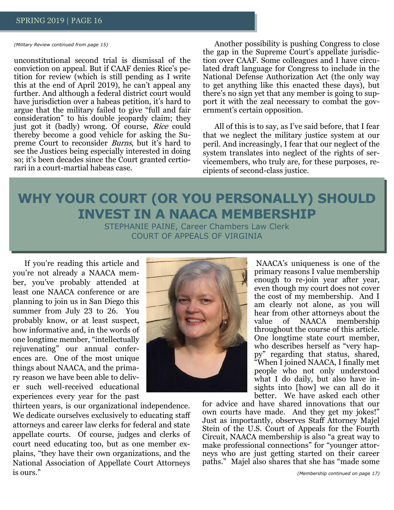*(Military Review continued from page 15)*

unconstitutional second trial is dismissal of the conviction on appeal. But if CAAF denies Rice's petition for review (which is still pending as I write this at the end of April 2019), he can't appeal any further. And although a federal district court would have jurisdiction over a habeas petition, it's hard to argue that the military failed to give "full and fair consideration" to his double jeopardy claim; they just got it (badly) wrong. Of course, Rice could thereby become a good vehicle for asking the Supreme Court to reconsider *Burns*, but it's hard to see the Justices being especially interested in doing so; it's been decades since the Court granted certiorari in a court-martial habeas case.

Another possibility is pushing Congress to close the gap in the Supreme Court's appellate jurisdiction over CAAF. Some colleagues and I have circulated draft language for Congress to include in the National Defense Authorization Act (the only way to get anything like this enacted these days), but there's no sign yet that any member is going to support it with the zeal necessary to combat the government's certain opposition.

All of this is to say, as I've said before, that I fear that we neglect the military justice system at our peril. And increasingly, I fear that our neglect of the system translates into neglect of the rights of servicemembers, who truly are, for these purposes, recipients of second-class justice.

# **WHY YOUR COURT (OR YOU PERSONALLY) SHOULD INVEST IN A NAACA MEMBERSHIP**

STEPHANIE PAINE, Career Chambers Law Clerk COURT OF APPEALS OF VIRGINIA

If you're reading this article and you're not already a NAACA member, you've probably attended at least one NAACA conference or are planning to join us in San Diego this summer from July 23 to 26. You probably know, or at least suspect, how informative and, in the words of one longtime member, "intellectually rejuvenating" our annual conferences are. One of the most unique things about NAACA, and the primary reason we have been able to deliver such well-received educational experiences every year for the past

thirteen years, is our organizational independence. We dedicate ourselves exclusively to educating staff attorneys and career law clerks for federal and state appellate courts. Of course, judges and clerks of court need educating too, but as one member explains, "they have their own organizations, and the National Association of Appellate Court Attorneys is ours."



NAACA's uniqueness is one of the primary reasons I value membership enough to re-join year after year, even though my court does not cover the cost of my membership. And I am clearly not alone, as you will hear from other attorneys about the value of NAACA membership throughout the course of this article. One longtime state court member, who describes herself as "very happy" regarding that status, shared, "When I joined NAACA, I finally met people who not only understood what I do daily, but also have insights into [how] we can all do it better. We have asked each other

for advice and have shared innovations that our own courts have made. And they get my jokes!" Just as importantly, observes Staff Attorney Majel Stein of the U.S. Court of Appeals for the Fourth Circuit, NAACA membership is also "a great way to make professional connections" for "younger attorneys who are just getting started on their career paths." Majel also shares that she has "made some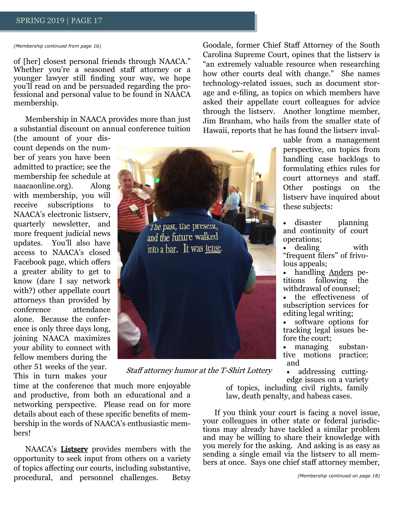*(Membership continued from page 16)*

of [her] closest personal friends through NAACA." Whether you're a seasoned staff attorney or a younger lawyer still finding your way, we hope you'll read on and be persuaded regarding the professional and personal value to be found in NAACA membership.

Membership in NAACA provides more than just a substantial discount on annual conference tuition

(the amount of your discount depends on the number of years you have been admitted to practice; see the membership fee schedule at naacaonline.org). Along with membership, you will receive subscriptions to NAACA's electronic listserv, quarterly newsletter, and more frequent judicial news updates. You'll also have access to NAACA's closed Facebook page, which offers a greater ability to get to know (dare I say network with?) other appellate court attorneys than provided by conference attendance alone. Because the conference is only three days long, joining NAACA maximizes your ability to connect with fellow members during the other 51 weeks of the year. This in turn makes your



Staff attorney humor at the T-Shirt Lottery

time at the conference that much more enjoyable and productive, from both an educational and a networking perspective. Please read on for more details about each of these specific benefits of membership in the words of NAACA's enthusiastic members!

NAACA's **Listsery** provides members with the opportunity to seek input from others on a variety of topics affecting our courts, including substantive, procedural, and personnel challenges. Betsy

Goodale, former Chief Staff Attorney of the South Carolina Supreme Court, opines that the listserv is "an extremely valuable resource when researching how other courts deal with change." She names technology-related issues, such as document storage and e-filing, as topics on which members have asked their appellate court colleagues for advice through the listserv. Another longtime member, Jim Branham, who hails from the smaller state of Hawaii, reports that he has found the listserv inval-

> uable from a management perspective, on topics from handling case backlogs to formulating ethics rules for court attorneys and staff. Other postings on the listserv have inquired about these subjects:

- disaster planning and continuity of court operations;
- dealing with "frequent filers" of frivolous appeals;
- handling Anders petitions following the withdrawal of counsel;
- the effectiveness of subscription services for editing legal writing;
- software options for tracking legal issues before the court;

• managing substantive motions practice; and

• addressing cuttingedge issues on a variety

of topics, including civil rights, family law, death penalty, and habeas cases.

If you think your court is facing a novel issue, your colleagues in other state or federal jurisdictions may already have tackled a similar problem and may be willing to share their knowledge with you merely for the asking. And asking is as easy as sending a single email via the listserv to all members at once. Says one chief staff attorney member,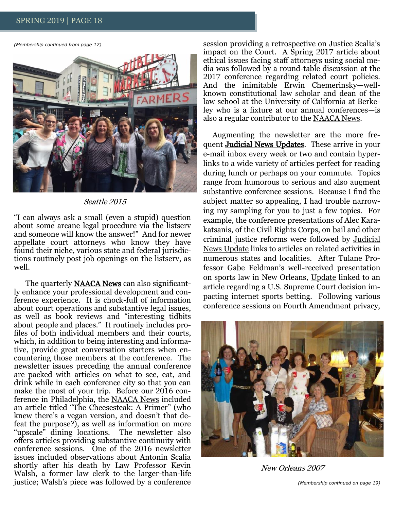*(Membership continued from page 17)*



Seattle 2015

"I can always ask a small (even a stupid) question about some arcane legal procedure via the listserv and someone will know the answer!" And for newer appellate court attorneys who know they have found their niche, various state and federal jurisdictions routinely post job openings on the listserv, as well.

The quarterly NAACA News can also significantly enhance your professional development and conference experience. It is chock-full of information about court operations and substantive legal issues, as well as book reviews and "interesting tidbits about people and places." It routinely includes profiles of both individual members and their courts, which, in addition to being interesting and informative, provide great conversation starters when encountering those members at the conference. The newsletter issues preceding the annual conference are packed with articles on what to see, eat, and drink while in each conference city so that you can make the most of your trip. Before our 2016 conference in Philadelphia, the NAACA News included an article titled "The Cheesesteak: A Primer" (who knew there's a vegan version, and doesn't that defeat the purpose?), as well as information on more "upscale" dining locations. The newsletter also offers articles providing substantive continuity with conference sessions. One of the 2016 newsletter issues included observations about Antonin Scalia shortly after his death by Law Professor Kevin Walsh, a former law clerk to the larger-than-life justice; Walsh's piece was followed by a conference

session providing a retrospective on Justice Scalia's impact on the Court. A Spring 2017 article about ethical issues facing staff attorneys using social media was followed by a round-table discussion at the 2017 conference regarding related court policies. And the inimitable Erwin Chemerinsky—wellknown constitutional law scholar and dean of the law school at the University of California at Berkeley who is a fixture at our annual conferences—is also a regular contributor to the NAACA News.

Augmenting the newsletter are the more frequent Judicial News Updates. These arrive in your e-mail inbox every week or two and contain hyperlinks to a wide variety of articles perfect for reading during lunch or perhaps on your commute. Topics range from humorous to serious and also augment substantive conference sessions. Because I find the subject matter so appealing, I had trouble narrowing my sampling for you to just a few topics. For example, the conference presentations of Alec Karakatsanis, of the Civil Rights Corps, on bail and other criminal justice reforms were followed by Judicial News Update links to articles on related activities in numerous states and localities. After Tulane Professor Gabe Feldman's well-received presentation on sports law in New Orleans, Update linked to an article regarding a U.S. Supreme Court decision impacting internet sports betting. Following various conference sessions on Fourth Amendment privacy,



New Orleans 2007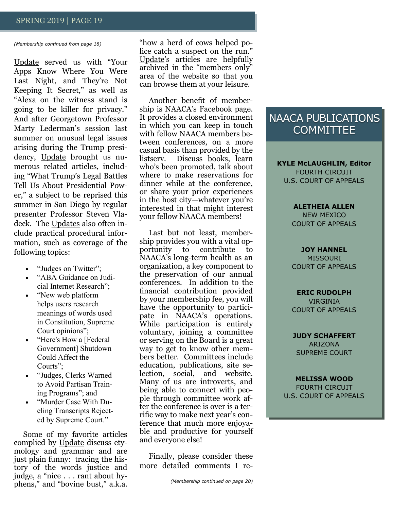#### *(Membership continued from page 18)*

Update served us with "Your Apps Know Where You Were Last Night, and They're Not Keeping It Secret," as well as "Alexa on the witness stand is going to be killer for privacy." And after Georgetown Professor Marty Lederman's session last summer on unusual legal issues arising during the Trump presidency, Update brought us numerous related articles, including "What Trump's Legal Battles Tell Us About Presidential Power," a subject to be reprised this summer in San Diego by regular presenter Professor Steven Vladeck. The Updates also often include practical procedural information, such as coverage of the following topics:

- "Judges on Twitter";
- "ABA Guidance on Judicial Internet Research";
- "New web platform" helps users research meanings of words used in Constitution, Supreme Court opinions";
- "Here's How a [Federal Government] Shutdown Could Affect the Courts";
- "Judges, Clerks Warned to Avoid Partisan Training Programs"; and
- "Murder Case With Dueling Transcripts Rejected by Supreme Court."

Some of my favorite articles complied by Update discuss etymology and grammar and are just plain funny: tracing the history of the words justice and judge, a "nice . . . rant about hyphens," and "bovine bust," a.k.a.

"how a herd of cows helped police catch a suspect on the run." Update's articles are helpfully archived in the "members only" area of the website so that you can browse them at your leisure.

Another benefit of membership is NAACA's Facebook page. It provides a closed environment in which you can keep in touch with fellow NAACA members between conferences, on a more casual basis than provided by the listserv. Discuss books, learn who's been promoted, talk about where to make reservations for dinner while at the conference, or share your prior experiences in the host city—whatever you're interested in that might interest your fellow NAACA members!

Last but not least, membership provides you with a vital opportunity to contribute to NAACA's long-term health as an organization, a key component to the preservation of our annual conferences. In addition to the financial contribution provided by your membership fee, you will have the opportunity to participate in NAACA's operations. While participation is entirely voluntary, joining a committee or serving on the Board is a great way to get to know other members better. Committees include education, publications, site selection, social, and website. Many of us are introverts, and being able to connect with people through committee work after the conference is over is a terrific way to make next year's conference that much more enjoyable and productive for yourself and everyone else!

Finally, please consider these more detailed comments I re-

# NAACA PUBLICATIONS **COMMITTEE**

**KYLE McLAUGHLIN, Editor** FOURTH CIRCUIT U.S. COURT OF APPEALS

## **ALETHEIA ALLEN**

NEW MEXICO COURT OF APPEALS

**JOY HANNEL** MISSOURI COURT OF APPEALS

#### **ERIC RUDOLPH**

VIRGINIA COURT OF APPEALS

**JUDY SCHAFFERT** ARIZONA SUPREME COURT

**MELISSA WOOD** FOURTH CIRCUIT U.S. COURT OF APPEALS